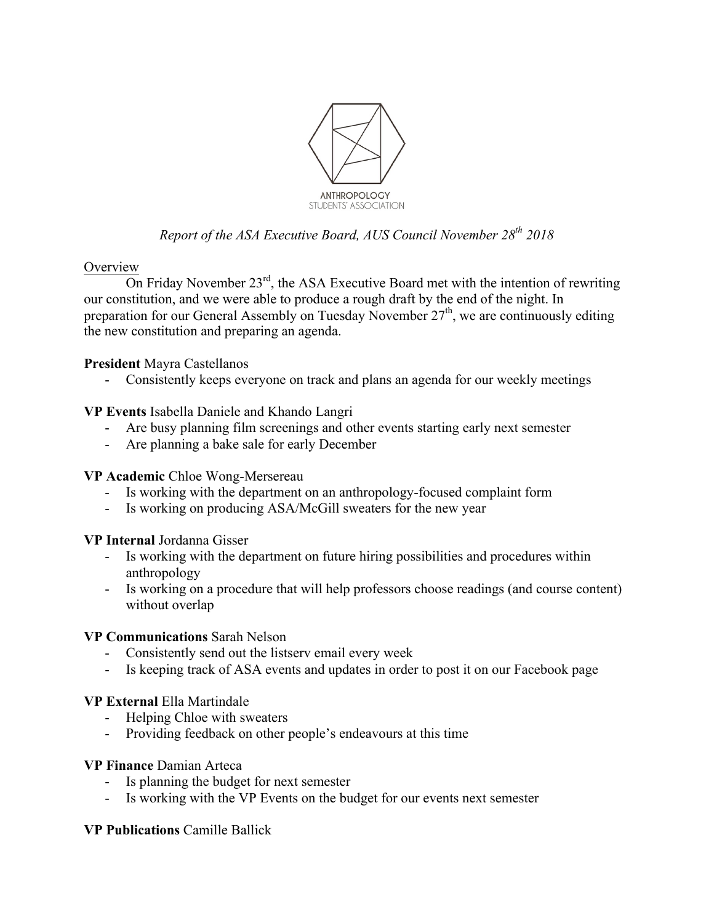

# *Report of the ASA Executive Board, AUS Council November 28th 2018*

### **Overview**

On Friday November  $23<sup>rd</sup>$ , the ASA Executive Board met with the intention of rewriting our constitution, and we were able to produce a rough draft by the end of the night. In preparation for our General Assembly on Tuesday November  $27<sup>th</sup>$ , we are continuously editing the new constitution and preparing an agenda.

## **President** Mayra Castellanos

- Consistently keeps everyone on track and plans an agenda for our weekly meetings

## **VP Events** Isabella Daniele and Khando Langri

- Are busy planning film screenings and other events starting early next semester
- Are planning a bake sale for early December

## **VP Academic** Chloe Wong-Mersereau

- Is working with the department on an anthropology-focused complaint form
- Is working on producing ASA/McGill sweaters for the new year

#### **VP Internal** Jordanna Gisser

- Is working with the department on future hiring possibilities and procedures within anthropology
- Is working on a procedure that will help professors choose readings (and course content) without overlap

#### **VP Communications** Sarah Nelson

- Consistently send out the listserv email every week
- Is keeping track of ASA events and updates in order to post it on our Facebook page

## **VP External** Ella Martindale

- Helping Chloe with sweaters
- Providing feedback on other people's endeavours at this time

## **VP Finance** Damian Arteca

- Is planning the budget for next semester
- Is working with the VP Events on the budget for our events next semester

## **VP Publications** Camille Ballick